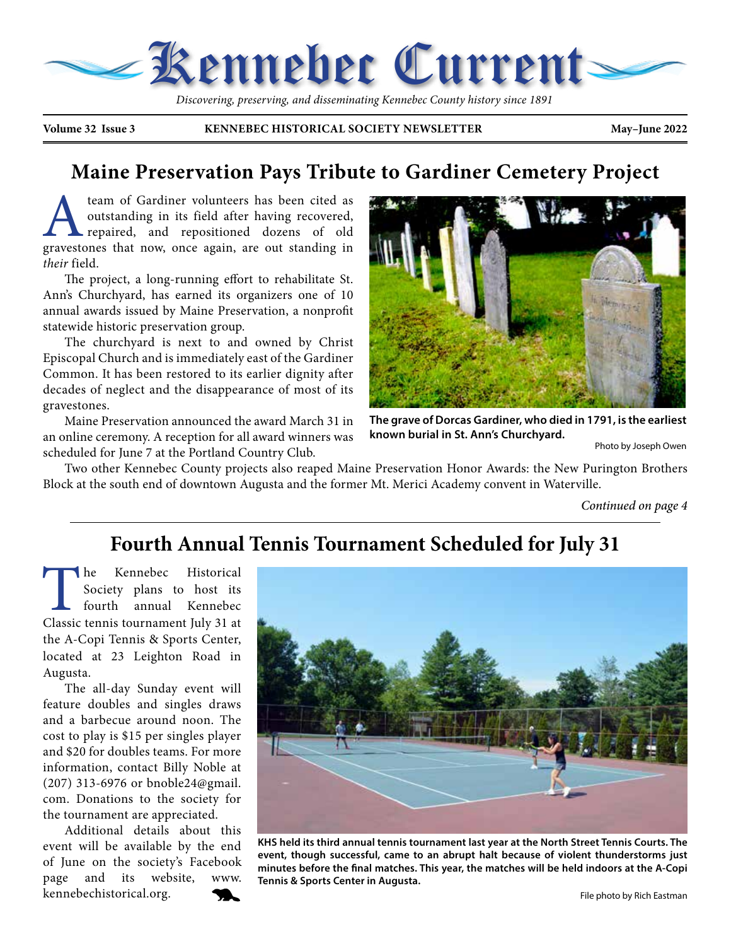

 *Discovering, preserving, and disseminating Kennebec County history since 1891*

**Volume 32 Issue 3 KENNEBEC HISTORICAL SOCIETY NEWSLETTER May–June 2022**

#### **Maine Preservation Pays Tribute to Gardiner Cemetery Project**

**A** team of Gardiner volunteers has been cited as outstanding in its field after having recovered, repaired, and repositioned dozens of old gravestones that now, once again, are out standing in outstanding in its field after having recovered, repaired, and repositioned dozens of old gravestones that now, once again, are out standing in *their* field.

The project, a long-running effort to rehabilitate St. Ann's Churchyard, has earned its organizers one of 10 annual awards issued by Maine Preservation, a nonprofit statewide historic preservation group.

The churchyard is next to and owned by Christ Episcopal Church and is immediately east of the Gardiner Common. It has been restored to its earlier dignity after decades of neglect and the disappearance of most of its gravestones.

Maine Preservation announced the award March 31 in an online ceremony. A reception for all award winners was scheduled for June 7 at the Portland Country Club.



**The grave of Dorcas Gardiner, who died in 1791, is the earliest known burial in St. Ann's Churchyard.**

Photo by Joseph Owen

Two other Kennebec County projects also reaped Maine Preservation Honor Awards: the New Purington Brothers Block at the south end of downtown Augusta and the former Mt. Merici Academy convent in Waterville.

*Continued on page 4*

#### **Fourth Annual Tennis Tournament Scheduled for July 31**

The Kennebec Historical<br>Society plans to host its<br>fourth annual Kennebec<br>Classic tennis tournament Iuly 31 at Society plans to host its fourth annual Kennebec Classic tennis tournament July 31 at the A-Copi Tennis & Sports Center, located at 23 Leighton Road in Augusta.

The all-day Sunday event will feature doubles and singles draws and a barbecue around noon. The cost to play is \$15 per singles player and \$20 for doubles teams. For more information, contact Billy Noble at (207) 313-6976 or bnoble24@gmail. com. Donations to the society for the tournament are appreciated.

Additional details about this event will be available by the end of June on the society's Facebook page and its website, www. kennebechistorical.org.



**KHS held its third annual tennis tournament last year at the North Street Tennis Courts. The event, though successful, came to an abrupt halt because of violent thunderstorms just minutes before the final matches. This year, the matches will be held indoors at the A-Copi Tennis & Sports Center in Augusta.**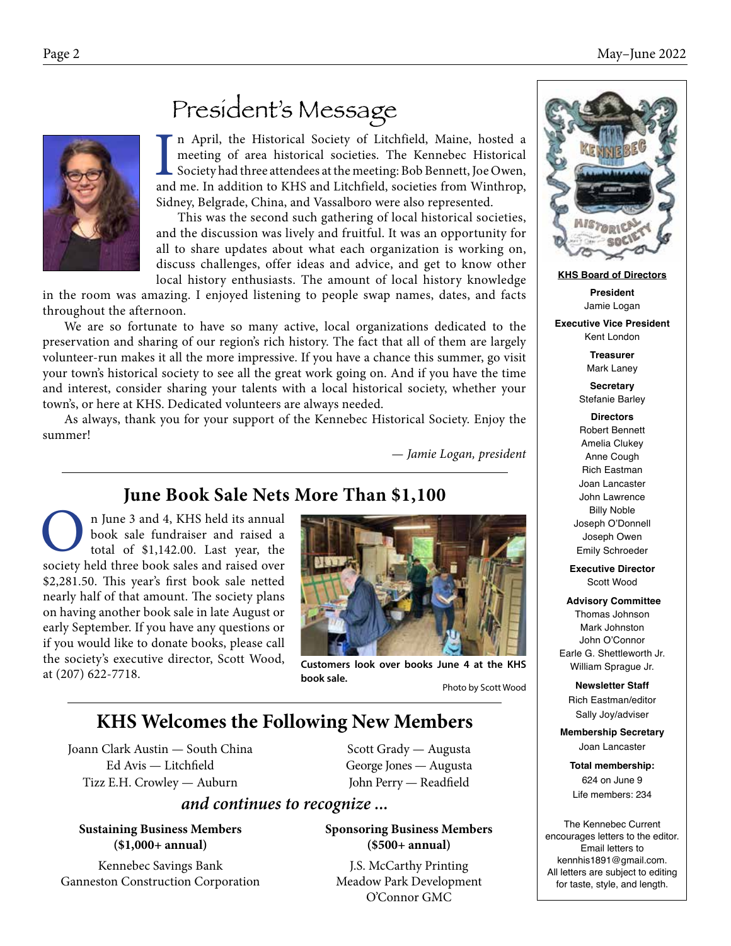

## President's Message

In April, the Historical Society of Litchfield, Maine, hosted a meeting of area historical societies. The Kennebec Historical Society had three attendees at the meeting: Bob Bennett, Joe Owen, and me. In addition to KHS an n April, the Historical Society of Litchfield, Maine, hosted a meeting of area historical societies. The Kennebec Historical Society had three attendees at the meeting: Bob Bennett, Joe Owen, Sidney, Belgrade, China, and Vassalboro were also represented.

This was the second such gathering of local historical societies, and the discussion was lively and fruitful. It was an opportunity for all to share updates about what each organization is working on, discuss challenges, offer ideas and advice, and get to know other local history enthusiasts. The amount of local history knowledge

in the room was amazing. I enjoyed listening to people swap names, dates, and facts throughout the afternoon.

We are so fortunate to have so many active, local organizations dedicated to the preservation and sharing of our region's rich history. The fact that all of them are largely volunteer-run makes it all the more impressive. If you have a chance this summer, go visit your town's historical society to see all the great work going on. And if you have the time and interest, consider sharing your talents with a local historical society, whether your town's, or here at KHS. Dedicated volunteers are always needed.

As always, thank you for your support of the Kennebec Historical Society. Enjoy the summer!

— *Jamie Logan, president*

#### **June Book Sale Nets More Than \$1,100**

n June 3 and 4, KHS held its annual book sale fundraiser and raised a total of \$1,142.00. Last year, the society held three book sales and raised over \$2,281.50. This year's first book sale netted nearly half of that amount. The society plans on having another book sale in late August or early September. If you have any questions or if you would like to donate books, please call the society's executive director, Scott Wood, at (207) 622-7718.



**Customers look over books June 4 at the KHS book sale.** Photo by Scott Wood

#### **KHS Welcomes the Following New Members**

Joann Clark Austin — South China Ed Avis — Litchfield Tizz E.H. Crowley — Auburn

Scott Grady — Augusta George Jones — Augusta John Perry — Readfield

#### *and continues to recognize ...*

**Sustaining Business Members (\$1,000+ annual)**

Kennebec Savings Bank Ganneston Construction Corporation **Sponsoring Business Members (\$500+ annual)**

J.S. McCarthy Printing Meadow Park Development O'Connor GMC



**KHS Board of Directors**

**President** Jamie Logan

**Executive Vice President** Kent London

> **Treasurer** Mark Laney

**Secretary** Stefanie Barley

**Directors** Robert Bennett Amelia Clukey Anne Cough Rich Eastman Joan Lancaster John Lawrence Billy Noble Joseph O'Donnell Joseph Owen Emily Schroeder

**Executive Director** Scott Wood

**Advisory Committee** Thomas Johnson Mark Johnston John O'Connor Earle G. Shettleworth Jr. William Sprague Jr.

**Newsletter Staff** Rich Eastman/editor Sally Joy/adviser

**Membership Secretary** Joan Lancaster

**Total membership:**  624 on June 9 Life members: 234

The Kennebec Current encourages letters to the editor. Email letters to kennhis1891@gmail.com. All letters are subject to editing for taste, style, and length.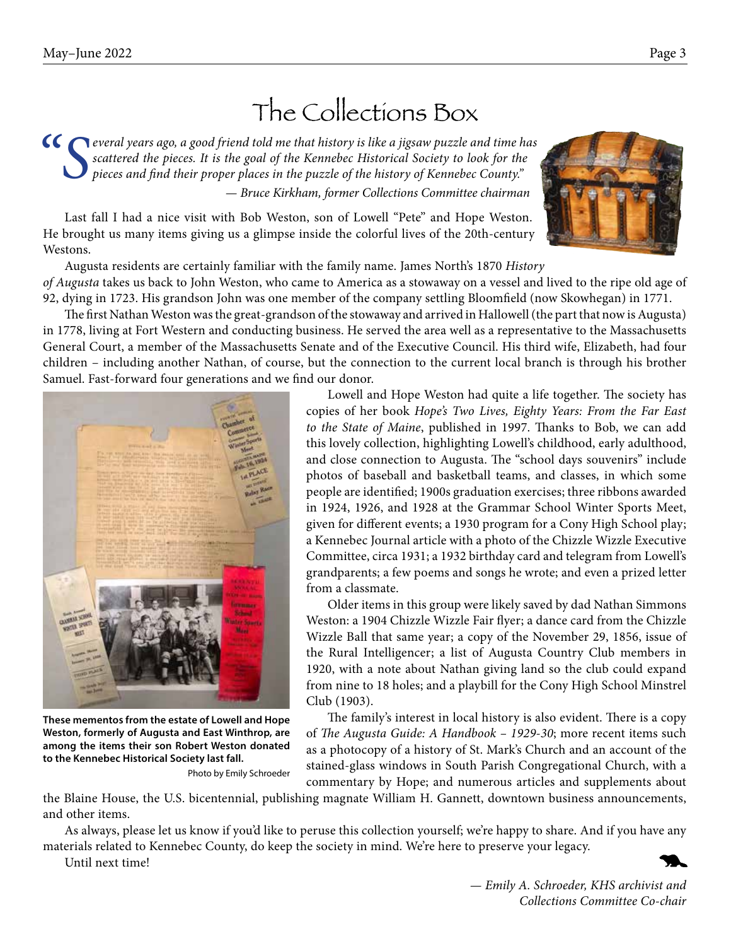## The Collections Box

*"Several years ago, a good friend told me that history is like a jigsaw puzzle and time has scattered the pieces. It is the goal of the Kennebec Historical Society to look for the pieces and find their proper places in the puzzle of the history of Kennebec County." — Bruce Kirkham, former Collections Committee chairman*

Last fall I had a nice visit with Bob Weston, son of Lowell "Pete" and Hope Weston. He brought us many items giving us a glimpse inside the colorful lives of the 20th-century Westons.

Augusta residents are certainly familiar with the family name. James North's 1870 *History of Augusta* takes us back to John Weston, who came to America as a stowaway on a vessel and lived to the ripe old age of 92, dying in 1723. His grandson John was one member of the company settling Bloomfield (now Skowhegan) in 1771.

The first Nathan Weston was the great-grandson of the stowaway and arrived in Hallowell (the part that now is Augusta) in 1778, living at Fort Western and conducting business. He served the area well as a representative to the Massachusetts General Court, a member of the Massachusetts Senate and of the Executive Council. His third wife, Elizabeth, had four children – including another Nathan, of course, but the connection to the current local branch is through his brother Samuel. Fast-forward four generations and we find our donor.

Lowell and Hope Weston had quite a life together. The society has copies of her book *Hope's Two Lives, Eighty Years: From the Far East to the State of Maine*, published in 1997. Thanks to Bob, we can add this lovely collection, highlighting Lowell's childhood, early adulthood, and close connection to Augusta. The "school days souvenirs" include photos of baseball and basketball teams, and classes, in which some people are identified; 1900s graduation exercises; three ribbons awarded in 1924, 1926, and 1928 at the Grammar School Winter Sports Meet, given for different events; a 1930 program for a Cony High School play; a Kennebec Journal article with a photo of the Chizzle Wizzle Executive Committee, circa 1931; a 1932 birthday card and telegram from Lowell's grandparents; a few poems and songs he wrote; and even a prized letter from a classmate.

Older items in this group were likely saved by dad Nathan Simmons Weston: a 1904 Chizzle Wizzle Fair flyer; a dance card from the Chizzle Wizzle Ball that same year; a copy of the November 29, 1856, issue of the Rural Intelligencer; a list of Augusta Country Club members in 1920, with a note about Nathan giving land so the club could expand from nine to 18 holes; and a playbill for the Cony High School Minstrel Club (1903).

The family's interest in local history is also evident. There is a copy of *The Augusta Guide: A Handbook – 1929-30*; more recent items such as a photocopy of a history of St. Mark's Church and an account of the stained-glass windows in South Parish Congregational Church, with a commentary by Hope; and numerous articles and supplements about

the Blaine House, the U.S. bicentennial, publishing magnate William H. Gannett, downtown business announcements, and other items.

As always, please let us know if you'd like to peruse this collection yourself; we're happy to share. And if you have any materials related to Kennebec County, do keep the society in mind. We're here to preserve your legacy.

Until next time!

*— Emily A. Schroeder, KHS archivist and Collections Committee Co-chair*



**Weston, formerly of Augusta and East Winthrop, are among the items their son Robert Weston donated** 

Photo by Emily Schroeder

**to the Kennebec Historical Society last fall.** 



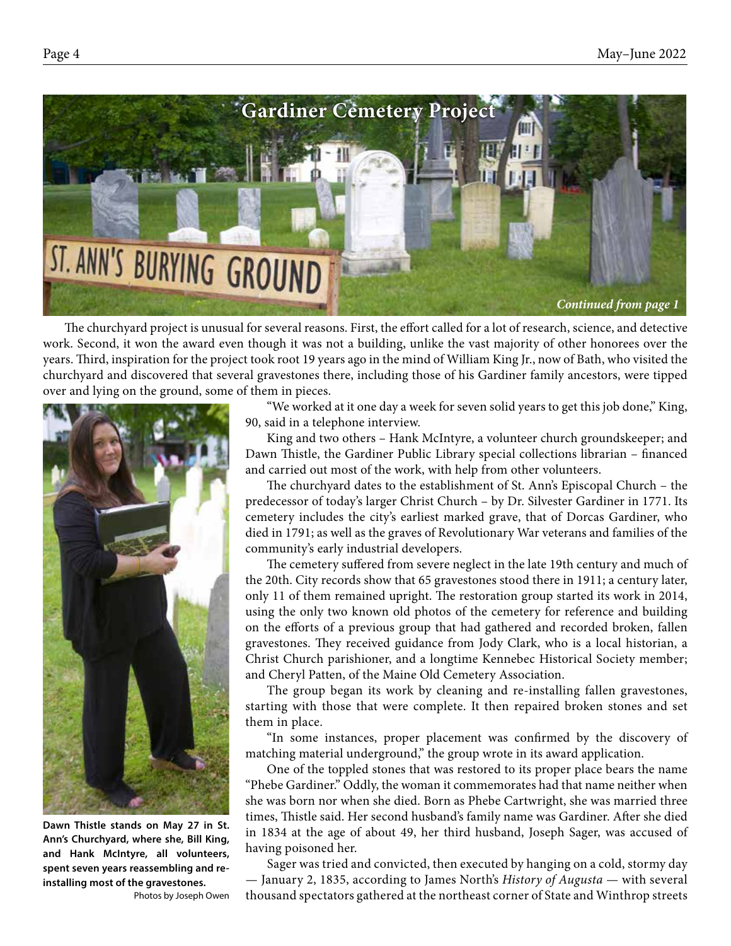

The churchyard project is unusual for several reasons. First, the effort called for a lot of research, science, and detective work. Second, it won the award even though it was not a building, unlike the vast majority of other honorees over the years. Third, inspiration for the project took root 19 years ago in the mind of William King Jr., now of Bath, who visited the churchyard and discovered that several gravestones there, including those of his Gardiner family ancestors, were tipped over and lying on the ground, some of them in pieces.



**Dawn Thistle stands on May 27 in St. Ann's Churchyard, where she, Bill King, and Hank McIntyre, all volunteers, spent seven years reassembling and reinstalling most of the gravestones.** 

Photos by Joseph Owen

"We worked at it one day a week for seven solid years to get this job done," King, 90, said in a telephone interview.

King and two others – Hank McIntyre, a volunteer church groundskeeper; and Dawn Thistle, the Gardiner Public Library special collections librarian – financed and carried out most of the work, with help from other volunteers.

The churchyard dates to the establishment of St. Ann's Episcopal Church – the predecessor of today's larger Christ Church – by Dr. Silvester Gardiner in 1771. Its cemetery includes the city's earliest marked grave, that of Dorcas Gardiner, who died in 1791; as well as the graves of Revolutionary War veterans and families of the community's early industrial developers.

The cemetery suffered from severe neglect in the late 19th century and much of the 20th. City records show that 65 gravestones stood there in 1911; a century later, only 11 of them remained upright. The restoration group started its work in 2014, using the only two known old photos of the cemetery for reference and building on the efforts of a previous group that had gathered and recorded broken, fallen gravestones. They received guidance from Jody Clark, who is a local historian, a Christ Church parishioner, and a longtime Kennebec Historical Society member; and Cheryl Patten, of the Maine Old Cemetery Association.

The group began its work by cleaning and re-installing fallen gravestones, starting with those that were complete. It then repaired broken stones and set them in place.

"In some instances, proper placement was confirmed by the discovery of matching material underground," the group wrote in its award application.

One of the toppled stones that was restored to its proper place bears the name "Phebe Gardiner." Oddly, the woman it commemorates had that name neither when she was born nor when she died. Born as Phebe Cartwright, she was married three times, Thistle said. Her second husband's family name was Gardiner. After she died in 1834 at the age of about 49, her third husband, Joseph Sager, was accused of having poisoned her.

Sager was tried and convicted, then executed by hanging on a cold, stormy day — January 2, 1835, according to James North's *History of Augusta* — with several thousand spectators gathered at the northeast corner of State and Winthrop streets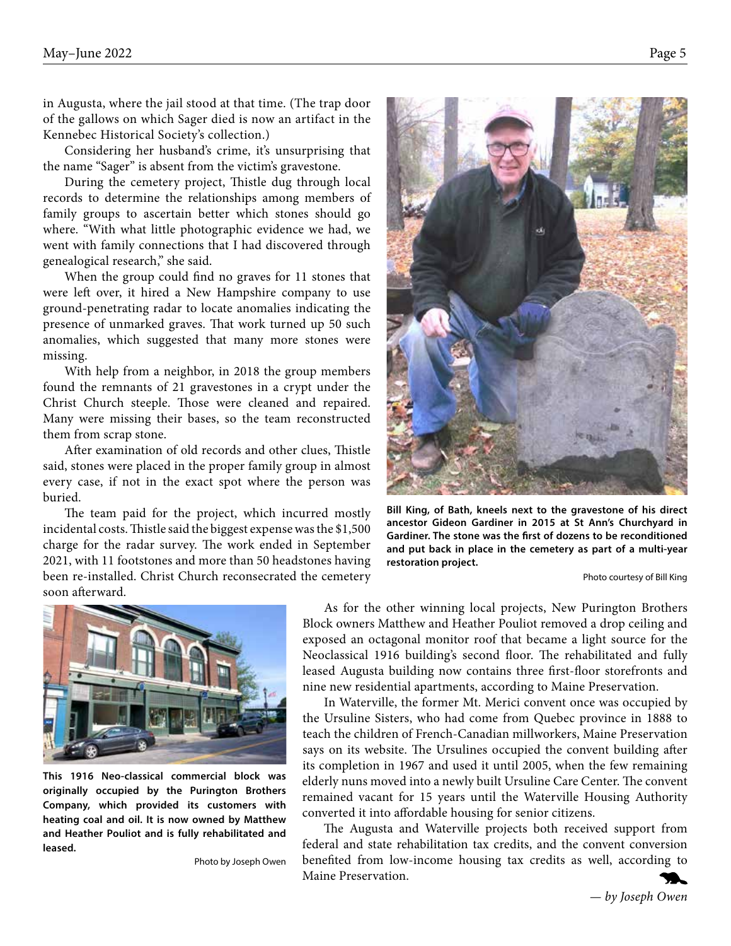in Augusta, where the jail stood at that time. (The trap door of the gallows on which Sager died is now an artifact in the Kennebec Historical Society's collection.)

Considering her husband's crime, it's unsurprising that the name "Sager" is absent from the victim's gravestone.

During the cemetery project, Thistle dug through local records to determine the relationships among members of family groups to ascertain better which stones should go where. "With what little photographic evidence we had, we went with family connections that I had discovered through genealogical research," she said.

When the group could find no graves for 11 stones that were left over, it hired a New Hampshire company to use ground-penetrating radar to locate anomalies indicating the presence of unmarked graves. That work turned up 50 such anomalies, which suggested that many more stones were missing.

With help from a neighbor, in 2018 the group members found the remnants of 21 gravestones in a crypt under the Christ Church steeple. Those were cleaned and repaired. Many were missing their bases, so the team reconstructed them from scrap stone.

After examination of old records and other clues, Thistle said, stones were placed in the proper family group in almost every case, if not in the exact spot where the person was buried.

The team paid for the project, which incurred mostly incidental costs. Thistle said the biggest expense was the \$1,500 charge for the radar survey. The work ended in September 2021, with 11 footstones and more than 50 headstones having been re-installed. Christ Church reconsecrated the cemetery soon afterward.



**This 1916 Neo-classical commercial block was originally occupied by the Purington Brothers Company, which provided its customers with heating coal and oil. It is now owned by Matthew and Heather Pouliot and is fully rehabilitated and leased.**

Photo by Joseph Owen

**Bill King, of Bath, kneels next to the gravestone of his direct ancestor Gideon Gardiner in 2015 at St Ann's Churchyard in Gardiner. The stone was the first of dozens to be reconditioned and put back in place in the cemetery as part of a multi-year restoration project.**

Photo courtesy of Bill King

As for the other winning local projects, New Purington Brothers Block owners Matthew and Heather Pouliot removed a drop ceiling and exposed an octagonal monitor roof that became a light source for the Neoclassical 1916 building's second floor. The rehabilitated and fully leased Augusta building now contains three first-floor storefronts and nine new residential apartments, according to Maine Preservation.

In Waterville, the former Mt. Merici convent once was occupied by the Ursuline Sisters, who had come from Quebec province in 1888 to teach the children of French-Canadian millworkers, Maine Preservation says on its website. The Ursulines occupied the convent building after its completion in 1967 and used it until 2005, when the few remaining elderly nuns moved into a newly built Ursuline Care Center. The convent remained vacant for 15 years until the Waterville Housing Authority converted it into affordable housing for senior citizens.

The Augusta and Waterville projects both received support from federal and state rehabilitation tax credits, and the convent conversion benefited from low-income housing tax credits as well, according to Maine Preservation.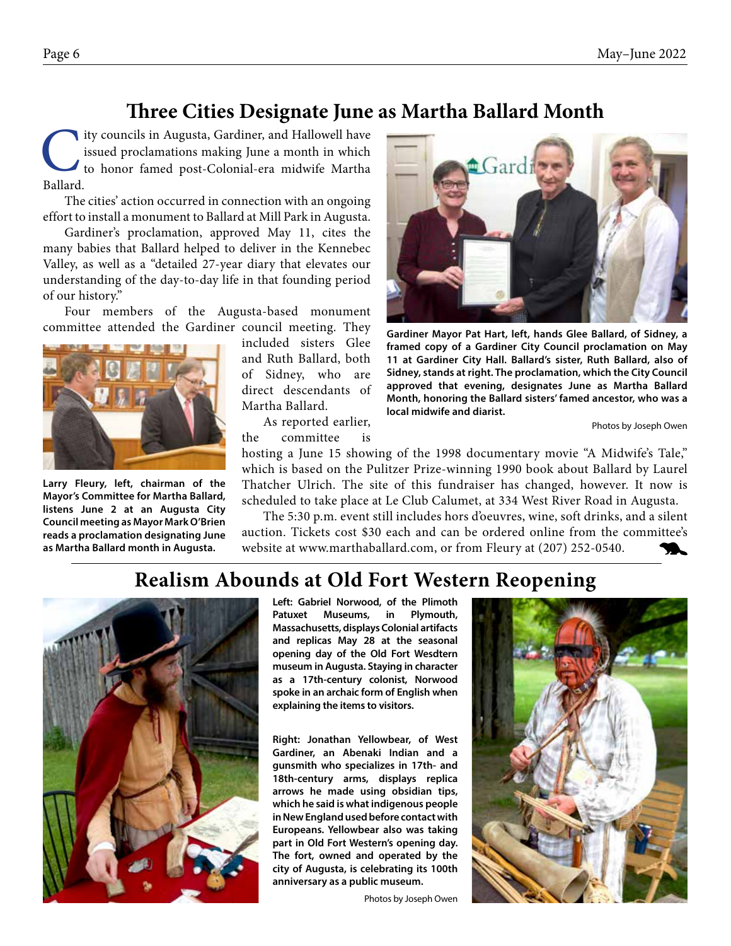#### **Three Cities Designate June as Martha Ballard Month**

Ity councils in Augusta, Gardiner, and Hallowell have<br>issued proclamations making June a month in which<br>to honor famed post-Colonial-era midwife Martha<br>Ballard issued proclamations making June a month in which to honor famed post-Colonial-era midwife Martha Ballard.

The cities' action occurred in connection with an ongoing effort to install a monument to Ballard at Mill Park in Augusta.

Gardiner's proclamation, approved May 11, cites the many babies that Ballard helped to deliver in the Kennebec Valley, as well as a "detailed 27-year diary that elevates our understanding of the day-to-day life in that founding period of our history."

Four members of the Augusta-based monument committee attended the Gardiner council meeting. They



**Larry Fleury, left, chairman of the Mayor's Committee for Martha Ballard, listens June 2 at an Augusta City Council meeting as Mayor Mark O'Brien reads a proclamation designating June as Martha Ballard month in Augusta.**

included sisters Glee and Ruth Ballard, both of Sidney, who are direct descendants of Martha Ballard.

As reported earlier, the committee is **Gardiner Mayor Pat Hart, left, hands Glee Ballard, of Sidney, a** 

**framed copy of a Gardiner City Council proclamation on May 11 at Gardiner City Hall. Ballard's sister, Ruth Ballard, also of Sidney, stands at right. The proclamation, which the City Council approved that evening, designates June as Martha Ballard Month, honoring the Ballard sisters' famed ancestor, who was a** 

Photos by Joseph Owen

# **local midwife and diarist.**

hosting a June 15 showing of the 1998 documentary movie "A Midwife's Tale," which is based on the Pulitzer Prize-winning 1990 book about Ballard by Laurel Thatcher Ulrich. The site of this fundraiser has changed, however. It now is scheduled to take place at Le Club Calumet, at 334 West River Road in Augusta.

The 5:30 p.m. event still includes hors d'oeuvres, wine, soft drinks, and a silent auction. Tickets cost \$30 each and can be ordered online from the committee's website at www.marthaballard.com, or from Fleury at (207) 252-0540.

## **Realism Abounds at Old Fort Western Reopening**



**Left: Gabriel Norwood, of the Plimoth Patuxet Museums, in Plymouth, Massachusetts, displays Colonial artifacts and replicas May 28 at the seasonal opening day of the Old Fort Wesdtern museum in Augusta. Staying in character as a 17th-century colonist, Norwood spoke in an archaic form of English when explaining the items to visitors.**

**Right: Jonathan Yellowbear, of West Gardiner, an Abenaki Indian and a gunsmith who specializes in 17th- and 18th-century arms, displays replica arrows he made using obsidian tips, which he said is what indigenous people in New England used before contact with Europeans. Yellowbear also was taking part in Old Fort Western's opening day. The fort, owned and operated by the city of Augusta, is celebrating its 100th anniversary as a public museum.**

Photos by Joseph Owen

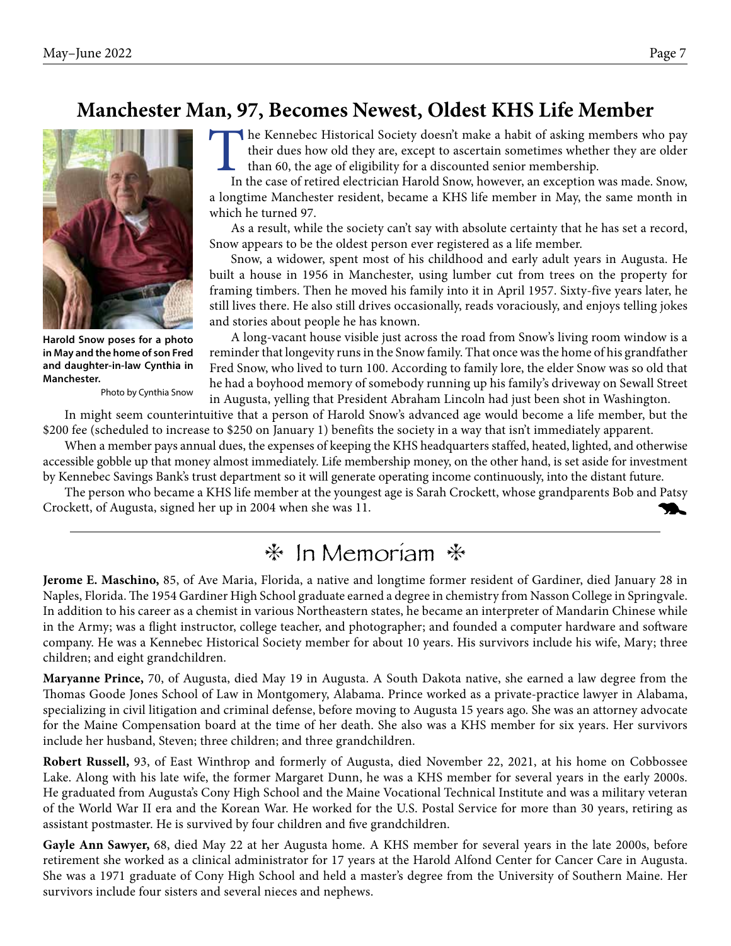### **Manchester Man, 97, Becomes Newest, Oldest KHS Life Member**



**Harold Snow poses for a photo in May and the home of son Fred and daughter-in-law Cynthia in Manchester.** 

Photo by Cynthia Snow

The Kennebec Historical Society doesn't make a habit of asking members who pay their dues how old they are, except to ascertain sometimes whether they are older than 60, the age of eligibility for a discounted senior membership.

In the case of retired electrician Harold Snow, however, an exception was made. Snow, a longtime Manchester resident, became a KHS life member in May, the same month in which he turned 97.

As a result, while the society can't say with absolute certainty that he has set a record, Snow appears to be the oldest person ever registered as a life member.

Snow, a widower, spent most of his childhood and early adult years in Augusta. He built a house in 1956 in Manchester, using lumber cut from trees on the property for framing timbers. Then he moved his family into it in April 1957. Sixty-five years later, he still lives there. He also still drives occasionally, reads voraciously, and enjoys telling jokes and stories about people he has known.

A long-vacant house visible just across the road from Snow's living room window is a reminder that longevity runs in the Snow family. That once was the home of his grandfather Fred Snow, who lived to turn 100. According to family lore, the elder Snow was so old that he had a boyhood memory of somebody running up his family's driveway on Sewall Street in Augusta, yelling that President Abraham Lincoln had just been shot in Washington.

In might seem counterintuitive that a person of Harold Snow's advanced age would become a life member, but the \$200 fee (scheduled to increase to \$250 on January 1) benefits the society in a way that isn't immediately apparent.

When a member pays annual dues, the expenses of keeping the KHS headquarters staffed, heated, lighted, and otherwise accessible gobble up that money almost immediately. Life membership money, on the other hand, is set aside for investment by Kennebec Savings Bank's trust department so it will generate operating income continuously, into the distant future.

The person who became a KHS life member at the youngest age is Sarah Crockett, whose grandparents Bob and Patsy Crockett, of Augusta, signed her up in 2004 when she was 11.

## $*$  In Memoriam  $*$

**Jerome E. Maschino,** 85, of Ave Maria, Florida, a native and longtime former resident of Gardiner, died January 28 in Naples, Florida. The 1954 Gardiner High School graduate earned a degree in chemistry from Nasson College in Springvale. In addition to his career as a chemist in various Northeastern states, he became an interpreter of Mandarin Chinese while in the Army; was a flight instructor, college teacher, and photographer; and founded a computer hardware and software company. He was a Kennebec Historical Society member for about 10 years. His survivors include his wife, Mary; three children; and eight grandchildren.

**Maryanne Prince,** 70, of Augusta, died May 19 in Augusta. A South Dakota native, she earned a law degree from the Thomas Goode Jones School of Law in Montgomery, Alabama. Prince worked as a private-practice lawyer in Alabama, specializing in civil litigation and criminal defense, before moving to Augusta 15 years ago. She was an attorney advocate for the Maine Compensation board at the time of her death. She also was a KHS member for six years. Her survivors include her husband, Steven; three children; and three grandchildren.

**Robert Russell,** 93, of East Winthrop and formerly of Augusta, died November 22, 2021, at his home on Cobbossee Lake. Along with his late wife, the former Margaret Dunn, he was a KHS member for several years in the early 2000s. He graduated from Augusta's Cony High School and the Maine Vocational Technical Institute and was a military veteran of the World War II era and the Korean War. He worked for the U.S. Postal Service for more than 30 years, retiring as assistant postmaster. He is survived by four children and five grandchildren.

**Gayle Ann Sawyer,** 68, died May 22 at her Augusta home. A KHS member for several years in the late 2000s, before retirement she worked as a clinical administrator for 17 years at the Harold Alfond Center for Cancer Care in Augusta. She was a 1971 graduate of Cony High School and held a master's degree from the University of Southern Maine. Her survivors include four sisters and several nieces and nephews.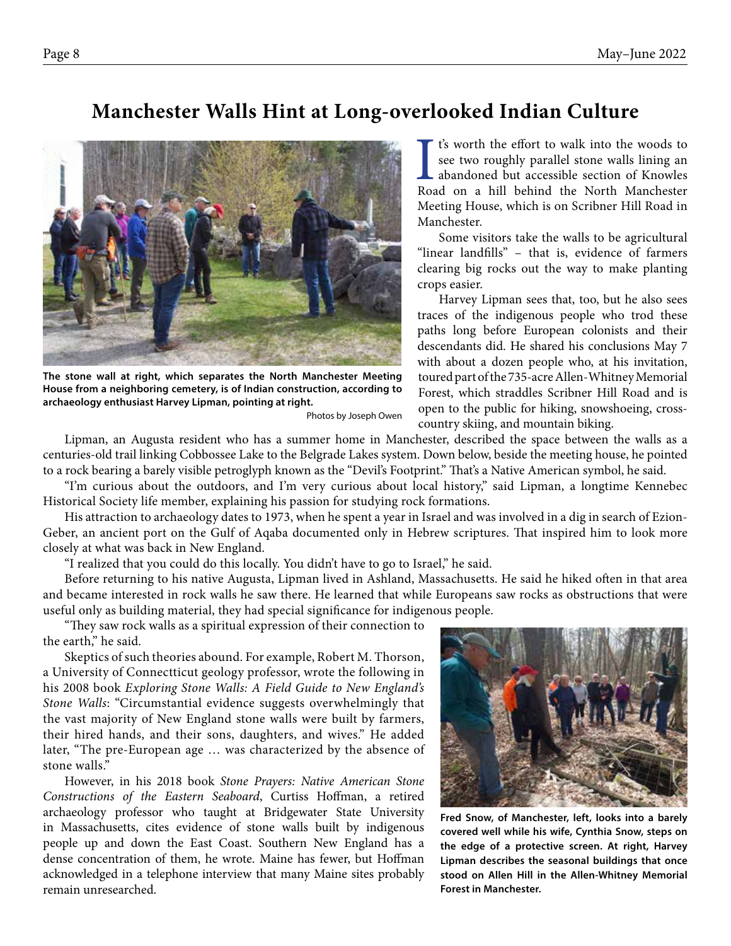#### **Manchester Walls Hint at Long-overlooked Indian Culture**



**The stone wall at right, which separates the North Manchester Meeting House from a neighboring cemetery, is of Indian construction, according to archaeology enthusiast Harvey Lipman, pointing at right.** 

Photos by Joseph Owen

It's worth the effort to walk into the woods to<br>see two roughly parallel stone walls lining an<br>abandoned but accessible section of Knowles<br>Road on a hill behind the North Manchester t's worth the effort to walk into the woods to see two roughly parallel stone walls lining an abandoned but accessible section of Knowles Meeting House, which is on Scribner Hill Road in Manchester.

Some visitors take the walls to be agricultural "linear landfills" – that is, evidence of farmers clearing big rocks out the way to make planting crops easier.

Harvey Lipman sees that, too, but he also sees traces of the indigenous people who trod these paths long before European colonists and their descendants did. He shared his conclusions May 7 with about a dozen people who, at his invitation, toured part of the 735-acre Allen-Whitney Memorial Forest, which straddles Scribner Hill Road and is open to the public for hiking, snowshoeing, crosscountry skiing, and mountain biking.

Lipman, an Augusta resident who has a summer home in Manchester, described the space between the walls as a centuries-old trail linking Cobbossee Lake to the Belgrade Lakes system. Down below, beside the meeting house, he pointed to a rock bearing a barely visible petroglyph known as the "Devil's Footprint." That's a Native American symbol, he said.

"I'm curious about the outdoors, and I'm very curious about local history," said Lipman, a longtime Kennebec Historical Society life member, explaining his passion for studying rock formations.

His attraction to archaeology dates to 1973, when he spent a year in Israel and was involved in a dig in search of Ezion-Geber, an ancient port on the Gulf of Aqaba documented only in Hebrew scriptures. That inspired him to look more closely at what was back in New England.

"I realized that you could do this locally. You didn't have to go to Israel," he said.

Before returning to his native Augusta, Lipman lived in Ashland, Massachusetts. He said he hiked often in that area and became interested in rock walls he saw there. He learned that while Europeans saw rocks as obstructions that were useful only as building material, they had special significance for indigenous people.

"They saw rock walls as a spiritual expression of their connection to the earth," he said.

Skeptics of such theories abound. For example, Robert M. Thorson, a University of Connectticut geology professor, wrote the following in his 2008 book *Exploring Stone Walls: A Field Guide to New England's Stone Walls*: "Circumstantial evidence suggests overwhelmingly that the vast majority of New England stone walls were built by farmers, their hired hands, and their sons, daughters, and wives." He added later, "The pre-European age … was characterized by the absence of stone walls."

However, in his 2018 book *Stone Prayers: Native American Stone Constructions of the Eastern Seaboard*, Curtiss Hoffman, a retired archaeology professor who taught at Bridgewater State University in Massachusetts, cites evidence of stone walls built by indigenous people up and down the East Coast. Southern New England has a dense concentration of them, he wrote. Maine has fewer, but Hoffman acknowledged in a telephone interview that many Maine sites probably remain unresearched.



**Fred Snow, of Manchester, left, looks into a barely covered well while his wife, Cynthia Snow, steps on the edge of a protective screen. At right, Harvey Lipman describes the seasonal buildings that once stood on Allen Hill in the Allen-Whitney Memorial Forest in Manchester.**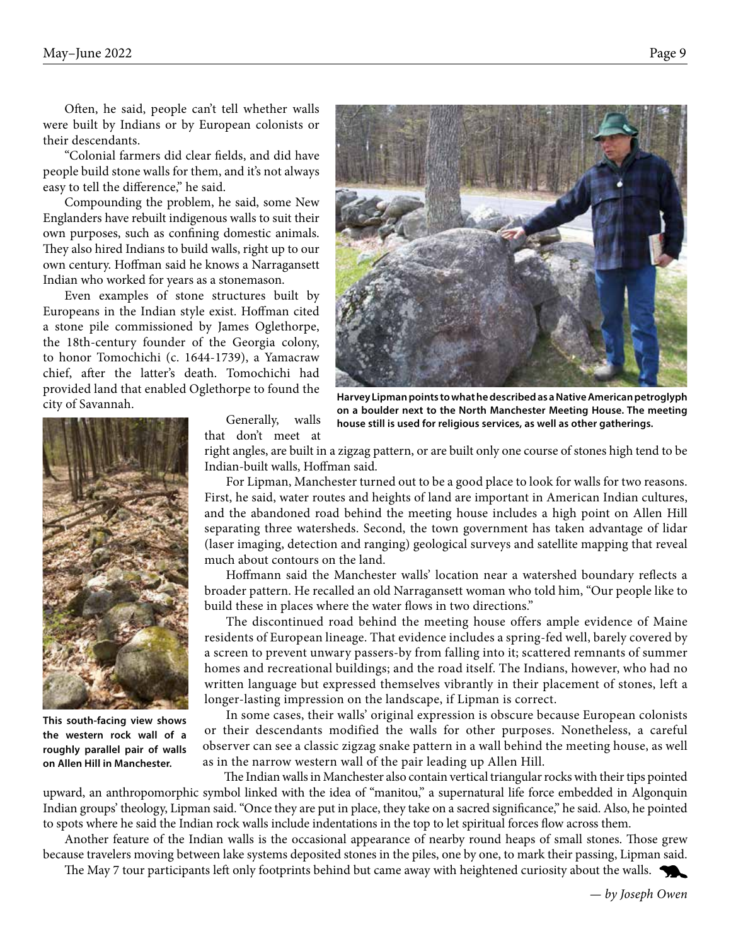Often, he said, people can't tell whether walls were built by Indians or by European colonists or their descendants.

"Colonial farmers did clear fields, and did have people build stone walls for them, and it's not always easy to tell the difference," he said.

Compounding the problem, he said, some New Englanders have rebuilt indigenous walls to suit their own purposes, such as confining domestic animals. They also hired Indians to build walls, right up to our own century. Hoffman said he knows a Narragansett Indian who worked for years as a stonemason.

Even examples of stone structures built by Europeans in the Indian style exist. Hoffman cited a stone pile commissioned by James Oglethorpe, the 18th-century founder of the Georgia colony, to honor Tomochichi (c. 1644-1739), a Yamacraw chief, after the latter's death. Tomochichi had provided land that enabled Oglethorpe to found the city of Savannah.



**Harvey Lipman points to what he described as a Native American petroglyph on a boulder next to the North Manchester Meeting House. The meeting house still is used for religious services, as well as other gatherings.**



**This south-facing view shows the western rock wall of a roughly parallel pair of walls on Allen Hill in Manchester.**

Generally, walls that don't meet at

right angles, are built in a zigzag pattern, or are built only one course of stones high tend to be Indian-built walls, Hoffman said.

For Lipman, Manchester turned out to be a good place to look for walls for two reasons. First, he said, water routes and heights of land are important in American Indian cultures, and the abandoned road behind the meeting house includes a high point on Allen Hill separating three watersheds. Second, the town government has taken advantage of lidar (laser imaging, detection and ranging) geological surveys and satellite mapping that reveal much about contours on the land.

Hoffmann said the Manchester walls' location near a watershed boundary reflects a broader pattern. He recalled an old Narragansett woman who told him, "Our people like to build these in places where the water flows in two directions."

The discontinued road behind the meeting house offers ample evidence of Maine residents of European lineage. That evidence includes a spring-fed well, barely covered by a screen to prevent unwary passers-by from falling into it; scattered remnants of summer homes and recreational buildings; and the road itself. The Indians, however, who had no written language but expressed themselves vibrantly in their placement of stones, left a longer-lasting impression on the landscape, if Lipman is correct.

In some cases, their walls' original expression is obscure because European colonists or their descendants modified the walls for other purposes. Nonetheless, a careful observer can see a classic zigzag snake pattern in a wall behind the meeting house, as well as in the narrow western wall of the pair leading up Allen Hill.

The Indian walls in Manchester also contain vertical triangular rocks with their tips pointed upward, an anthropomorphic symbol linked with the idea of "manitou," a supernatural life force embedded in Algonquin Indian groups' theology, Lipman said. "Once they are put in place, they take on a sacred significance," he said. Also, he pointed to spots where he said the Indian rock walls include indentations in the top to let spiritual forces flow across them.

Another feature of the Indian walls is the occasional appearance of nearby round heaps of small stones. Those grew because travelers moving between lake systems deposited stones in the piles, one by one, to mark their passing, Lipman said.

The May 7 tour participants left only footprints behind but came away with heightened curiosity about the walls.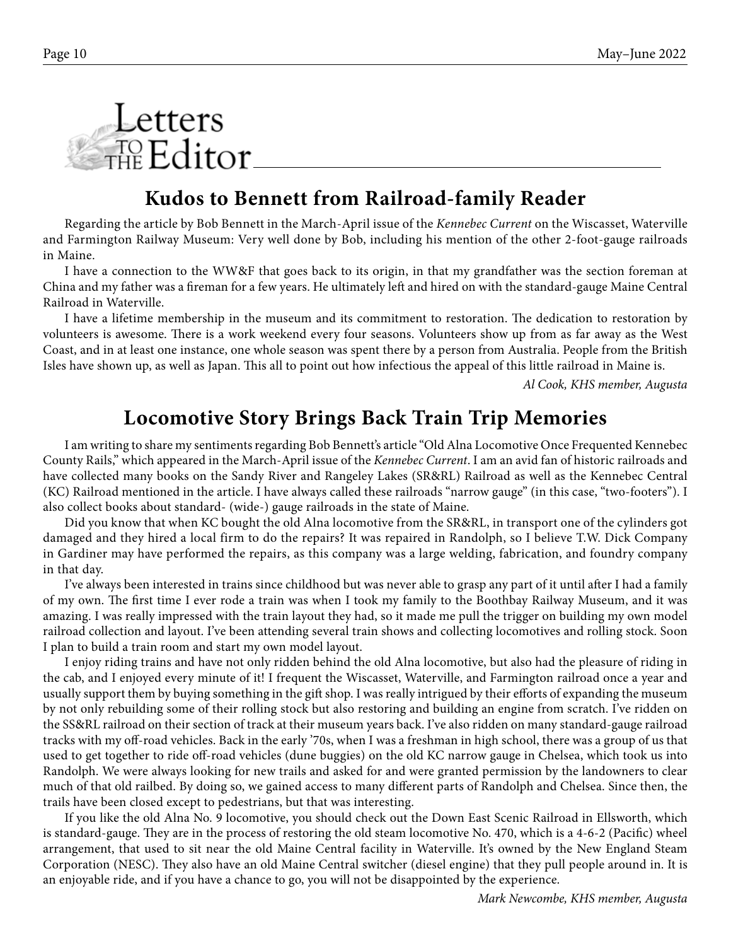

#### **Kudos to Bennett from Railroad-family Reader**

Regarding the article by Bob Bennett in the March-April issue of the *Kennebec Current* on the Wiscasset, Waterville and Farmington Railway Museum: Very well done by Bob, including his mention of the other 2-foot-gauge railroads in Maine.

I have a connection to the WW&F that goes back to its origin, in that my grandfather was the section foreman at China and my father was a fireman for a few years. He ultimately left and hired on with the standard-gauge Maine Central Railroad in Waterville.

I have a lifetime membership in the museum and its commitment to restoration. The dedication to restoration by volunteers is awesome. There is a work weekend every four seasons. Volunteers show up from as far away as the West Coast, and in at least one instance, one whole season was spent there by a person from Australia. People from the British Isles have shown up, as well as Japan. This all to point out how infectious the appeal of this little railroad in Maine is.

 *Al Cook, KHS member, Augusta*

#### **Locomotive Story Brings Back Train Trip Memories**

I am writing to share my sentiments regarding Bob Bennett's article "Old Alna Locomotive Once Frequented Kennebec County Rails," which appeared in the March-April issue of the *Kennebec Current*. I am an avid fan of historic railroads and have collected many books on the Sandy River and Rangeley Lakes (SR&RL) Railroad as well as the Kennebec Central (KC) Railroad mentioned in the article. I have always called these railroads "narrow gauge" (in this case, "two-footers"). I also collect books about standard- (wide-) gauge railroads in the state of Maine.

Did you know that when KC bought the old Alna locomotive from the SR&RL, in transport one of the cylinders got damaged and they hired a local firm to do the repairs? It was repaired in Randolph, so I believe T.W. Dick Company in Gardiner may have performed the repairs, as this company was a large welding, fabrication, and foundry company in that day.

I've always been interested in trains since childhood but was never able to grasp any part of it until after I had a family of my own. The first time I ever rode a train was when I took my family to the Boothbay Railway Museum, and it was amazing. I was really impressed with the train layout they had, so it made me pull the trigger on building my own model railroad collection and layout. I've been attending several train shows and collecting locomotives and rolling stock. Soon I plan to build a train room and start my own model layout.

I enjoy riding trains and have not only ridden behind the old Alna locomotive, but also had the pleasure of riding in the cab, and I enjoyed every minute of it! I frequent the Wiscasset, Waterville, and Farmington railroad once a year and usually support them by buying something in the gift shop. I was really intrigued by their efforts of expanding the museum by not only rebuilding some of their rolling stock but also restoring and building an engine from scratch. I've ridden on the SS&RL railroad on their section of track at their museum years back. I've also ridden on many standard-gauge railroad tracks with my off-road vehicles. Back in the early '70s, when I was a freshman in high school, there was a group of us that used to get together to ride off-road vehicles (dune buggies) on the old KC narrow gauge in Chelsea, which took us into Randolph. We were always looking for new trails and asked for and were granted permission by the landowners to clear much of that old railbed. By doing so, we gained access to many different parts of Randolph and Chelsea. Since then, the trails have been closed except to pedestrians, but that was interesting.

If you like the old Alna No. 9 locomotive, you should check out the Down East Scenic Railroad in Ellsworth, which is standard-gauge. They are in the process of restoring the old steam locomotive No. 470, which is a 4-6-2 (Pacific) wheel arrangement, that used to sit near the old Maine Central facility in Waterville. It's owned by the New England Steam Corporation (NESC). They also have an old Maine Central switcher (diesel engine) that they pull people around in. It is an enjoyable ride, and if you have a chance to go, you will not be disappointed by the experience.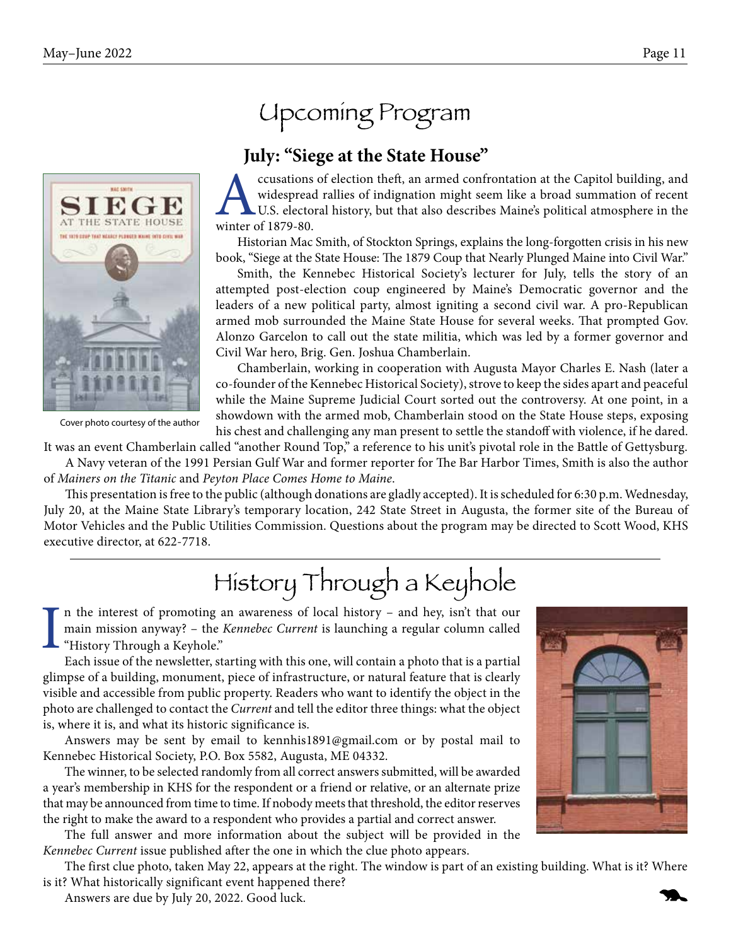

Cover photo courtesy of the author

## Upcoming Program

#### **July: "Siege at the State House"**

ccusations of election theft, an armed confrontation at the Capitol building, and widespread rallies of indignation might seem like a broad summation of recent U.S. electoral history, but that also describes Maine's political atmosphere in the winter of 1879-80.

Historian Mac Smith, of Stockton Springs, explains the long-forgotten crisis in his new book, "Siege at the State House: The 1879 Coup that Nearly Plunged Maine into Civil War."

Smith, the Kennebec Historical Society's lecturer for July, tells the story of an attempted post-election coup engineered by Maine's Democratic governor and the leaders of a new political party, almost igniting a second civil war. A pro-Republican armed mob surrounded the Maine State House for several weeks. That prompted Gov. Alonzo Garcelon to call out the state militia, which was led by a former governor and Civil War hero, Brig. Gen. Joshua Chamberlain.

Chamberlain, working in cooperation with Augusta Mayor Charles E. Nash (later a co-founder of the Kennebec Historical Society), strove to keep the sides apart and peaceful while the Maine Supreme Judicial Court sorted out the controversy. At one point, in a showdown with the armed mob, Chamberlain stood on the State House steps, exposing his chest and challenging any man present to settle the standoff with violence, if he dared.

It was an event Chamberlain called "another Round Top," a reference to his unit's pivotal role in the Battle of Gettysburg.

A Navy veteran of the 1991 Persian Gulf War and former reporter for The Bar Harbor Times, Smith is also the author of *Mainers on the Titanic* and *Peyton Place Comes Home to Maine*.

This presentation is free to the public (although donations are gladly accepted). It is scheduled for 6:30 p.m. Wednesday, July 20, at the Maine State Library's temporary location, 242 State Street in Augusta, the former site of the Bureau of Motor Vehicles and the Public Utilities Commission. Questions about the program may be directed to Scott Wood, KHS executive director, at 622-7718.

# History Through a Keyhole

I n the interest of promoting an awareness of local history – and hey, isn't that our main mission anyway? – the *Kennebec Current* is launching a regular column called "History Through a Keyhole."

Each issue of the newsletter, starting with this one, will contain a photo that is a partial glimpse of a building, monument, piece of infrastructure, or natural feature that is clearly visible and accessible from public property. Readers who want to identify the object in the photo are challenged to contact the *Current* and tell the editor three things: what the object is, where it is, and what its historic significance is.

Answers may be sent by email to kennhis1891@gmail.com or by postal mail to Kennebec Historical Society, P.O. Box 5582, Augusta, ME 04332.

The winner, to be selected randomly from all correct answers submitted, will be awarded a year's membership in KHS for the respondent or a friend or relative, or an alternate prize that may be announced from time to time. If nobody meets that threshold, the editor reserves the right to make the award to a respondent who provides a partial and correct answer.

The full answer and more information about the subject will be provided in the *Kennebec Current* issue published after the one in which the clue photo appears.

The first clue photo, taken May 22, appears at the right. The window is part of an existing building. What is it? Where is it? What historically significant event happened there?

Answers are due by July 20, 2022. Good luck.